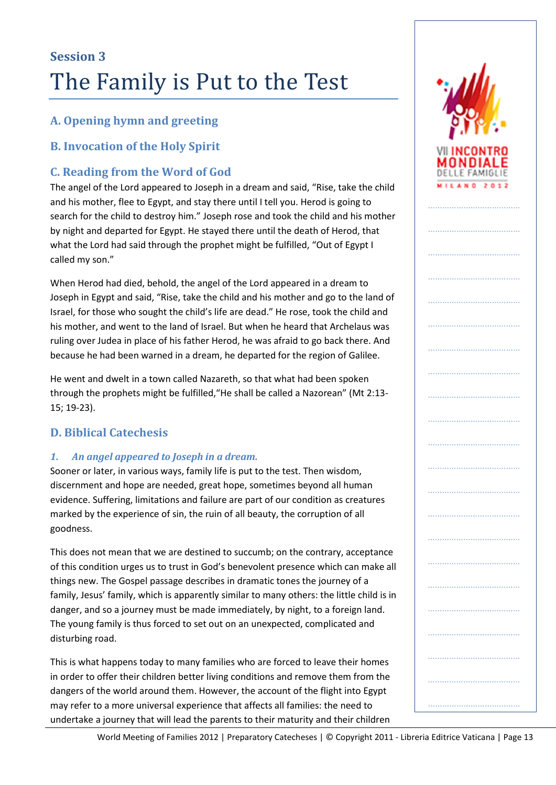## **A. Opening hymn and greeting**

### **B. Invocation of the Holy Spirit**

### **C. Reading from the Word of God**

The angel of the Lord appeared to Joseph in a dream and said, "Rise, take the child and his mother, flee to Egypt, and stay there until I tell you. Herod is going to search for the child to destroy him." Joseph rose and took the child and his mother by night and departed for Egypt. He stayed there until the death of Herod, that what the Lord had said through the prophet might be fulfilled, "Out of Egypt I called my son."

When Herod had died, behold, the angel of the Lord appeared in a dream to Joseph in Egypt and said, "Rise, take the child and his mother and go to the land of Israel, for those who sought the child's life are dead." He rose, took the child and his mother, and went to the land of Israel. But when he heard that Archelaus was ruling over Judea in place of his father Herod, he was afraid to go back there. And because he had been warned in a dream, he departed for the region of Galilee.

He went and dwelt in a town called Nazareth, so that what had been spoken through the prophets might be fulfilled,"He shall be called a Nazorean" (Mt 2:13- 15; 19-23).

### **D. Biblical Catechesis**

### *1. An angel appeared to Joseph in a dream.*

Sooner or later, in various ways, family life is put to the test. Then wisdom, discernment and hope are needed, great hope, sometimes beyond all human evidence. Suffering, limitations and failure are part of our condition as creatures marked by the experience of sin, the ruin of all beauty, the corruption of all goodness.

This does not mean that we are destined to succumb; on the contrary, acceptance of this condition urges us to trust in God's benevolent presence which can make all things new. The Gospel passage describes in dramatic tones the journey of a family, Jesus' family, which is apparently similar to many others: the little child is in danger, and so a journey must be made immediately, by night, to a foreign land. The young family is thus forced to set out on an unexpected, complicated and disturbing road.

This is what happens today to many families who are forced to leave their homes in order to offer their children better living conditions and remove them from the dangers of the world around them. However, the account of the flight into Egypt may refer to a more universal experience that affects all families: the need to undertake a journey that will lead the parents to their maturity and their children



…………………………………

……………………………………………

……………………………………………

……………………………………………

…………………………………

…………………………………

…………………………………

…………………………………

…………………………………

…………………………………

…………………………………

…………………………………

……………………………………

……………………………………………

……………………………………………

……………………………………………

……………………………………………

World Meeting of Families 2012 | Preparatory Catecheses | © Copyright 2011 - Libreria Editrice Vaticana | Page 13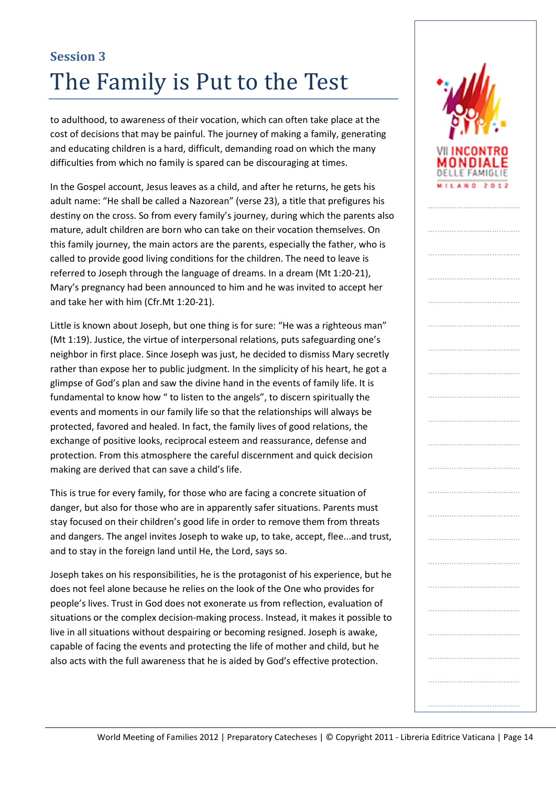to adulthood, to awareness of their vocation, which can often take place at the cost of decisions that may be painful. The journey of making a family, generating and educating children is a hard, difficult, demanding road on which the many difficulties from which no family is spared can be discouraging at times.

In the Gospel account, Jesus leaves as a child, and after he returns, he gets his adult name: "He shall be called a Nazorean" (verse 23), a title that prefigures his destiny on the cross. So from every family's journey, during which the parents also mature, adult children are born who can take on their vocation themselves. On this family journey, the main actors are the parents, especially the father, who is called to provide good living conditions for the children. The need to leave is referred to Joseph through the language of dreams. In a dream (Mt 1:20-21), Mary's pregnancy had been announced to him and he was invited to accept her and take her with him (Cfr.Mt 1:20-21).

Little is known about Joseph, but one thing is for sure: "He was a righteous man" (Mt 1:19). Justice, the virtue of interpersonal relations, puts safeguarding one's neighbor in first place. Since Joseph was just, he decided to dismiss Mary secretly rather than expose her to public judgment. In the simplicity of his heart, he got a glimpse of God's plan and saw the divine hand in the events of family life. It is fundamental to know how " to listen to the angels", to discern spiritually the events and moments in our family life so that the relationships will always be protected, favored and healed. In fact, the family lives of good relations, the exchange of positive looks, reciprocal esteem and reassurance, defense and protection. From this atmosphere the careful discernment and quick decision making are derived that can save a child's life.

This is true for every family, for those who are facing a concrete situation of danger, but also for those who are in apparently safer situations. Parents must stay focused on their children's good life in order to remove them from threats and dangers. The angel invites Joseph to wake up, to take, accept, flee...and trust, and to stay in the foreign land until He, the Lord, says so.

Joseph takes on his responsibilities, he is the protagonist of his experience, but he does not feel alone because he relies on the look of the One who provides for people's lives. Trust in God does not exonerate us from reflection, evaluation of situations or the complex decision-making process. Instead, it makes it possible to live in all situations without despairing or becoming resigned. Joseph is awake, capable of facing the events and protecting the life of mother and child, but he also acts with the full awareness that he is aided by God's effective protection.

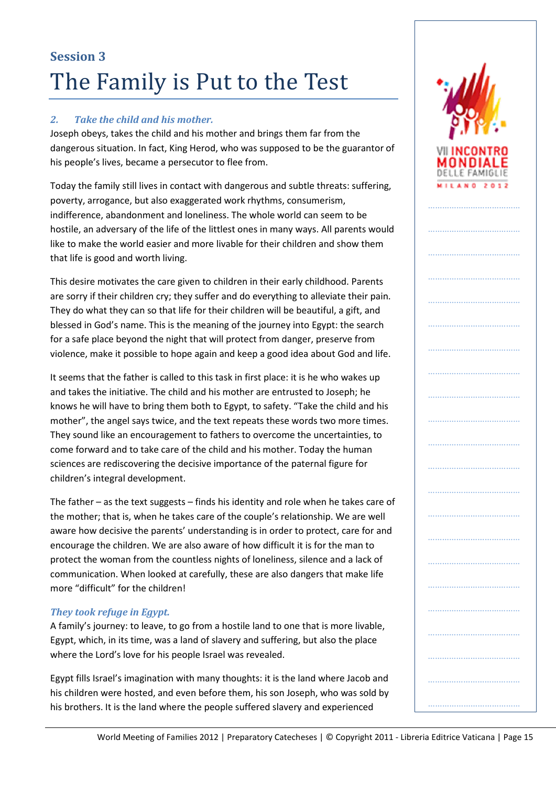#### *2. Take the child and his mother.*

Joseph obeys, takes the child and his mother and brings them far from the dangerous situation. In fact, King Herod, who was supposed to be the guarantor of his people's lives, became a persecutor to flee from.

Today the family still lives in contact with dangerous and subtle threats: suffering, poverty, arrogance, but also exaggerated work rhythms, consumerism, indifference, abandonment and loneliness. The whole world can seem to be hostile, an adversary of the life of the littlest ones in many ways. All parents would like to make the world easier and more livable for their children and show them that life is good and worth living.

This desire motivates the care given to children in their early childhood. Parents are sorry if their children cry; they suffer and do everything to alleviate their pain. They do what they can so that life for their children will be beautiful, a gift, and blessed in God's name. This is the meaning of the journey into Egypt: the search for a safe place beyond the night that will protect from danger, preserve from violence, make it possible to hope again and keep a good idea about God and life.

It seems that the father is called to this task in first place: it is he who wakes up and takes the initiative. The child and his mother are entrusted to Joseph; he knows he will have to bring them both to Egypt, to safety. "Take the child and his mother", the angel says twice, and the text repeats these words two more times. They sound like an encouragement to fathers to overcome the uncertainties, to come forward and to take care of the child and his mother. Today the human sciences are rediscovering the decisive importance of the paternal figure for children's integral development.

The father – as the text suggests – finds his identity and role when he takes care of the mother; that is, when he takes care of the couple's relationship. We are well aware how decisive the parents' understanding is in order to protect, care for and encourage the children. We are also aware of how difficult it is for the man to protect the woman from the countless nights of loneliness, silence and a lack of communication. When looked at carefully, these are also dangers that make life more "difficult" for the children!

#### *They took refuge in Egypt.*

A family's journey: to leave, to go from a hostile land to one that is more livable, Egypt, which, in its time, was a land of slavery and suffering, but also the place where the Lord's love for his people Israel was revealed.

Egypt fills Israel's imagination with many thoughts: it is the land where Jacob and his children were hosted, and even before them, his son Joseph, who was sold by his brothers. It is the land where the people suffered slavery and experienced

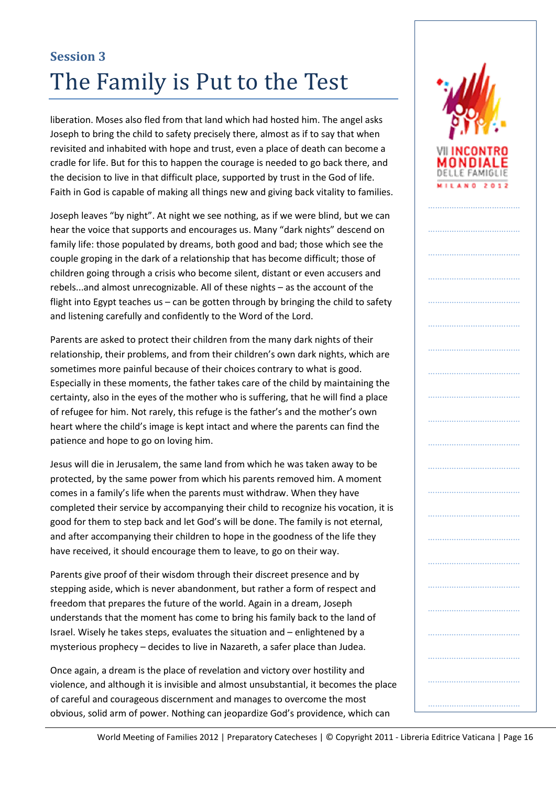liberation. Moses also fled from that land which had hosted him. The angel asks Joseph to bring the child to safety precisely there, almost as if to say that when revisited and inhabited with hope and trust, even a place of death can become a cradle for life. But for this to happen the courage is needed to go back there, and the decision to live in that difficult place, supported by trust in the God of life. Faith in God is capable of making all things new and giving back vitality to families.

Joseph leaves "by night". At night we see nothing, as if we were blind, but we can hear the voice that supports and encourages us. Many "dark nights" descend on family life: those populated by dreams, both good and bad; those which see the couple groping in the dark of a relationship that has become difficult; those of children going through a crisis who become silent, distant or even accusers and rebels...and almost unrecognizable. All of these nights – as the account of the flight into Egypt teaches us – can be gotten through by bringing the child to safety and listening carefully and confidently to the Word of the Lord.

Parents are asked to protect their children from the many dark nights of their relationship, their problems, and from their children's own dark nights, which are sometimes more painful because of their choices contrary to what is good. Especially in these moments, the father takes care of the child by maintaining the certainty, also in the eyes of the mother who is suffering, that he will find a place of refugee for him. Not rarely, this refuge is the father's and the mother's own heart where the child's image is kept intact and where the parents can find the patience and hope to go on loving him.

Jesus will die in Jerusalem, the same land from which he was taken away to be protected, by the same power from which his parents removed him. A moment comes in a family's life when the parents must withdraw. When they have completed their service by accompanying their child to recognize his vocation, it is good for them to step back and let God's will be done. The family is not eternal, and after accompanying their children to hope in the goodness of the life they have received, it should encourage them to leave, to go on their way.

Parents give proof of their wisdom through their discreet presence and by stepping aside, which is never abandonment, but rather a form of respect and freedom that prepares the future of the world. Again in a dream, Joseph understands that the moment has come to bring his family back to the land of Israel. Wisely he takes steps, evaluates the situation and – enlightened by a mysterious prophecy – decides to live in Nazareth, a safer place than Judea.

Once again, a dream is the place of revelation and victory over hostility and violence, and although it is invisible and almost unsubstantial, it becomes the place of careful and courageous discernment and manages to overcome the most obvious, solid arm of power. Nothing can jeopardize God's providence, which can

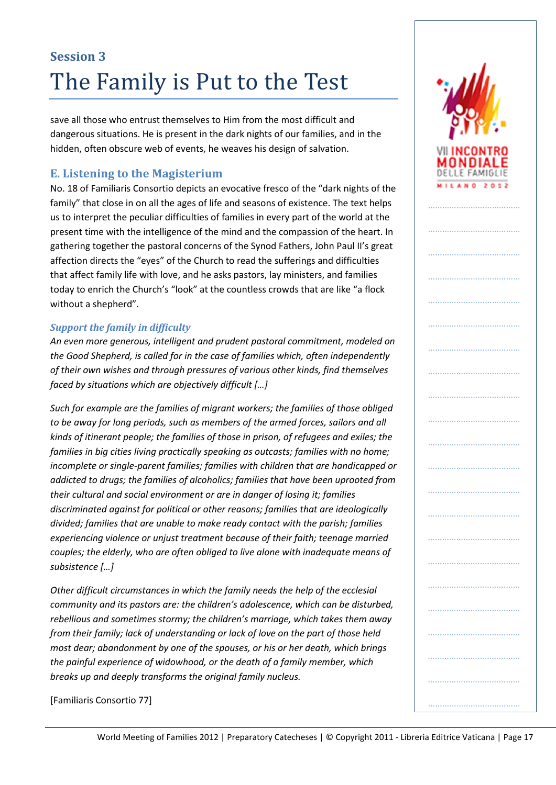save all those who entrust themselves to Him from the most difficult and dangerous situations. He is present in the dark nights of our families, and in the hidden, often obscure web of events, he weaves his design of salvation.

### **E. Listening to the Magisterium**

No. 18 of Familiaris Consortio depicts an evocative fresco of the "dark nights of the family" that close in on all the ages of life and seasons of existence. The text helps us to interpret the peculiar difficulties of families in every part of the world at the present time with the intelligence of the mind and the compassion of the heart. In gathering together the pastoral concerns of the Synod Fathers, John Paul II's great affection directs the "eyes" of the Church to read the sufferings and difficulties that affect family life with love, and he asks pastors, lay ministers, and families today to enrich the Church's "look" at the countless crowds that are like "a flock without a shepherd".

#### *Support the family in difficulty*

*An even more generous, intelligent and prudent pastoral commitment, modeled on the Good Shepherd, is called for in the case of families which, often independently of their own wishes and through pressures of various other kinds, find themselves faced by situations which are objectively difficult […]*

*Such for example are the families of migrant workers; the families of those obliged to be away for long periods, such as members of the armed forces, sailors and all kinds of itinerant people; the families of those in prison, of refugees and exiles; the families in big cities living practically speaking as outcasts; families with no home; incomplete or single-parent families; families with children that are handicapped or addicted to drugs; the families of alcoholics; families that have been uprooted from their cultural and social environment or are in danger of losing it; families discriminated against for political or other reasons; families that are ideologically divided; families that are unable to make ready contact with the parish; families experiencing violence or unjust treatment because of their faith; teenage married couples; the elderly, who are often obliged to live alone with inadequate means of subsistence […]*

*Other difficult circumstances in which the family needs the help of the ecclesial community and its pastors are: the children's adolescence, which can be disturbed, rebellious and sometimes stormy; the children's marriage, which takes them away from their family; lack of understanding or lack of love on the part of those held most dear; abandonment by one of the spouses, or his or her death, which brings the painful experience of widowhood, or the death of a family member, which breaks up and deeply transforms the original family nucleus.*

[Familiaris Consortio 77]

…………………………………

DELLE FAMIGLIE **MILANO 2012** 

………………………………

……………………………………………

……………………………………………

……………………………………………

…………………………………

…………………………………………

…………………………………

…………………………………

…………………………………

…………………………………

…………………………………

…………………………

…………………………………

…………………………………

…………………………………………

……………………………………………

……………………………………………

…………………………………

……………………………………………